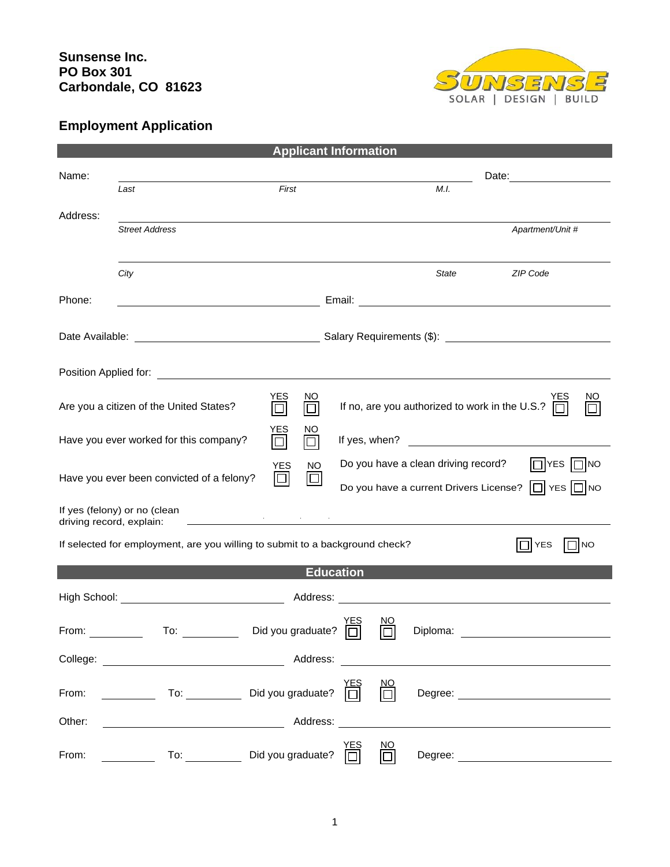**Sunsense Inc. PO Box 301 Carbondale, CO 81623**



## **Employment Application**

|                                                                                                                                                                                                                                                                                  |                                                                                                                                                                                                                                |                   | <b>Applicant Information</b> |                                                                                                                                                                                                                                |                                                                                                                                                                                                                                |  |
|----------------------------------------------------------------------------------------------------------------------------------------------------------------------------------------------------------------------------------------------------------------------------------|--------------------------------------------------------------------------------------------------------------------------------------------------------------------------------------------------------------------------------|-------------------|------------------------------|--------------------------------------------------------------------------------------------------------------------------------------------------------------------------------------------------------------------------------|--------------------------------------------------------------------------------------------------------------------------------------------------------------------------------------------------------------------------------|--|
| Name:                                                                                                                                                                                                                                                                            |                                                                                                                                                                                                                                |                   |                              |                                                                                                                                                                                                                                |                                                                                                                                                                                                                                |  |
|                                                                                                                                                                                                                                                                                  | Last                                                                                                                                                                                                                           | First             |                              | M.I.                                                                                                                                                                                                                           |                                                                                                                                                                                                                                |  |
| Address:                                                                                                                                                                                                                                                                         |                                                                                                                                                                                                                                |                   |                              |                                                                                                                                                                                                                                |                                                                                                                                                                                                                                |  |
|                                                                                                                                                                                                                                                                                  | <b>Street Address</b>                                                                                                                                                                                                          |                   |                              |                                                                                                                                                                                                                                | Apartment/Unit #                                                                                                                                                                                                               |  |
|                                                                                                                                                                                                                                                                                  |                                                                                                                                                                                                                                |                   |                              |                                                                                                                                                                                                                                |                                                                                                                                                                                                                                |  |
|                                                                                                                                                                                                                                                                                  | City                                                                                                                                                                                                                           |                   |                              | State                                                                                                                                                                                                                          | ZIP Code                                                                                                                                                                                                                       |  |
| Phone:                                                                                                                                                                                                                                                                           |                                                                                                                                                                                                                                |                   |                              |                                                                                                                                                                                                                                |                                                                                                                                                                                                                                |  |
|                                                                                                                                                                                                                                                                                  |                                                                                                                                                                                                                                |                   |                              |                                                                                                                                                                                                                                |                                                                                                                                                                                                                                |  |
|                                                                                                                                                                                                                                                                                  |                                                                                                                                                                                                                                |                   |                              |                                                                                                                                                                                                                                |                                                                                                                                                                                                                                |  |
|                                                                                                                                                                                                                                                                                  |                                                                                                                                                                                                                                |                   |                              |                                                                                                                                                                                                                                |                                                                                                                                                                                                                                |  |
| YES<br>NO<br>Are you a citizen of the United States?                                                                                                                                                                                                                             |                                                                                                                                                                                                                                |                   |                              |                                                                                                                                                                                                                                | NΟ<br>If no, are you authorized to work in the U.S.? $\Box$                                                                                                                                                                    |  |
| rs<br>미<br>NΟ<br>Have you ever worked for this company?                                                                                                                                                                                                                          |                                                                                                                                                                                                                                |                   |                              |                                                                                                                                                                                                                                |                                                                                                                                                                                                                                |  |
| Do you have a clean driving record?<br>$\Box$ YES<br>סאוך<br>YES<br>NO.<br>$\Box$<br>Have you ever been convicted of a felony?<br>□<br>Do you have a current Drivers License?  □ YES  □ NO                                                                                       |                                                                                                                                                                                                                                |                   |                              |                                                                                                                                                                                                                                |                                                                                                                                                                                                                                |  |
| If yes (felony) or no (clean<br>driving record, explain:                                                                                                                                                                                                                         |                                                                                                                                                                                                                                |                   |                              |                                                                                                                                                                                                                                |                                                                                                                                                                                                                                |  |
| If selected for employment, are you willing to submit to a background check?<br><b>YES</b><br>I⊟Ino                                                                                                                                                                              |                                                                                                                                                                                                                                |                   |                              |                                                                                                                                                                                                                                |                                                                                                                                                                                                                                |  |
| <b>Education</b>                                                                                                                                                                                                                                                                 |                                                                                                                                                                                                                                |                   |                              |                                                                                                                                                                                                                                |                                                                                                                                                                                                                                |  |
| High School: _________________________________<br>Address: Andreas and the set of the set of the set of the set of the set of the set of the set of the set of the set of the set of the set of the set of the set of the set of the set of the set of the set of the set of the |                                                                                                                                                                                                                                |                   |                              |                                                                                                                                                                                                                                |                                                                                                                                                                                                                                |  |
| From:                                                                                                                                                                                                                                                                            | To:                                                                                                                                                                                                                            | Did you graduate? |                              | Diploma:                                                                                                                                                                                                                       |                                                                                                                                                                                                                                |  |
|                                                                                                                                                                                                                                                                                  |                                                                                                                                                                                                                                |                   |                              | Address: Analysis and the state of the state of the state of the state of the state of the state of the state of the state of the state of the state of the state of the state of the state of the state of the state of the s |                                                                                                                                                                                                                                |  |
| From:                                                                                                                                                                                                                                                                            | To: _________________________ Did you graduate? □                                                                                                                                                                              |                   |                              |                                                                                                                                                                                                                                | Degree: the contract of the contract of the contract of the contract of the contract of the contract of the contract of the contract of the contract of the contract of the contract of the contract of the contract of the co |  |
| Other:                                                                                                                                                                                                                                                                           |                                                                                                                                                                                                                                | Address:          |                              |                                                                                                                                                                                                                                |                                                                                                                                                                                                                                |  |
|                                                                                                                                                                                                                                                                                  |                                                                                                                                                                                                                                |                   |                              |                                                                                                                                                                                                                                |                                                                                                                                                                                                                                |  |
| From:                                                                                                                                                                                                                                                                            | To: the contract of the contract of the contract of the contract of the contract of the contract of the contract of the contract of the contract of the contract of the contract of the contract of the contract of the contra | Did you graduate? |                              | Degree:                                                                                                                                                                                                                        |                                                                                                                                                                                                                                |  |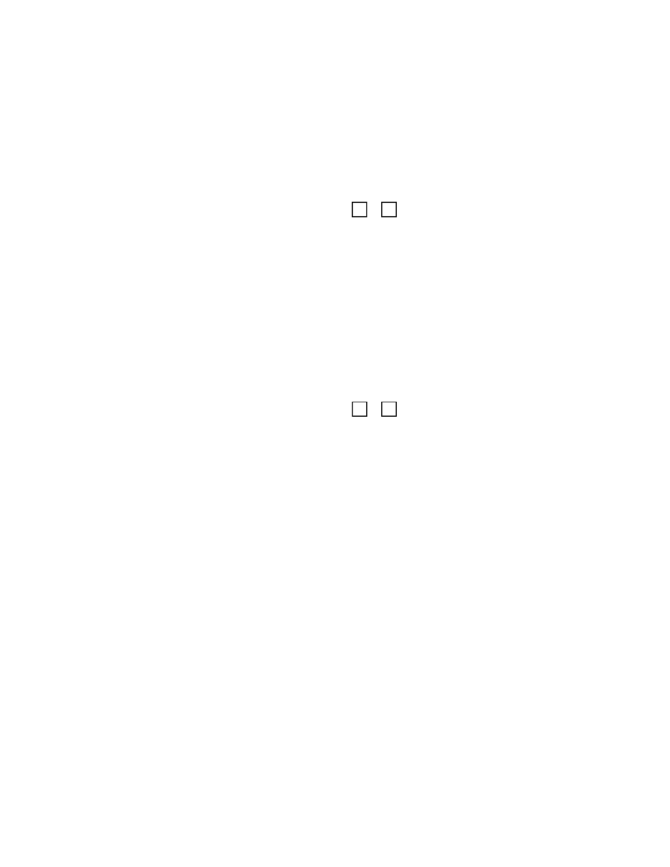

## $\square$   $\square$